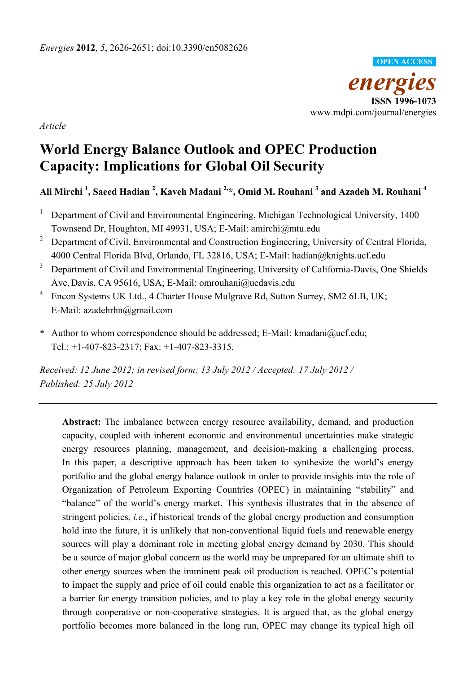

*Article* 

# **World Energy Balance Outlook and OPEC Production Capacity: Implications for Global Oil Security**

# Ali Mirchi <sup>1</sup>, Saeed Hadian <sup>2</sup>, Kaveh Madani <sup>2,</sup>\*, Omid M. Rouhani <sup>3</sup> and Azadeh M. Rouhani <sup>4</sup>

- 1 Department of Civil and Environmental Engineering, Michigan Technological University, 1400 Townsend Dr, Houghton, MI 49931, USA; E-Mail: amirchi@mtu.edu
- 2 Department of Civil, Environmental and Construction Engineering, University of Central Florida, 4000 Central Florida Blvd, Orlando, FL 32816, USA; E-Mail: hadian@knights.ucf.edu
- 3 Department of Civil and Environmental Engineering, University of California-Davis, One Shields Ave,Davis, CA 95616, USA; E-Mail: omrouhani@ucdavis.edu
- 4 Encon Systems UK Ltd., 4 Charter House Mulgrave Rd, Sutton Surrey, SM2 6LB, UK; E-Mail: azadehrhn@gmail.com
- **\*** Author to whom correspondence should be addressed; E-Mail: kmadani@ucf.edu; Tel.: +1-407-823-2317; Fax: +1-407-823-3315.

*Received: 12 June 2012; in revised form: 13 July 2012 / Accepted: 17 July 2012 / Published: 25 July 2012* 

**Abstract:** The imbalance between energy resource availability, demand, and production capacity, coupled with inherent economic and environmental uncertainties make strategic energy resources planning, management, and decision-making a challenging process. In this paper, a descriptive approach has been taken to synthesize the world's energy portfolio and the global energy balance outlook in order to provide insights into the role of Organization of Petroleum Exporting Countries (OPEC) in maintaining "stability" and "balance" of the world's energy market. This synthesis illustrates that in the absence of stringent policies, *i.e*., if historical trends of the global energy production and consumption hold into the future, it is unlikely that non-conventional liquid fuels and renewable energy sources will play a dominant role in meeting global energy demand by 2030. This should be a source of major global concern as the world may be unprepared for an ultimate shift to other energy sources when the imminent peak oil production is reached. OPEC's potential to impact the supply and price of oil could enable this organization to act as a facilitator or a barrier for energy transition policies, and to play a key role in the global energy security through cooperative or non-cooperative strategies. It is argued that, as the global energy portfolio becomes more balanced in the long run, OPEC may change its typical high oil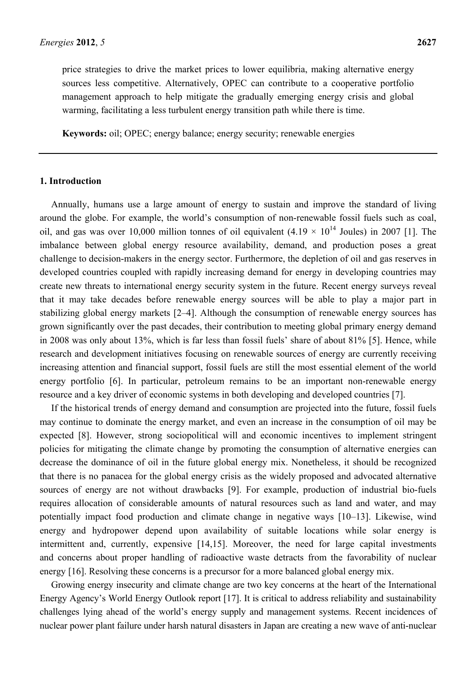price strategies to drive the market prices to lower equilibria, making alternative energy sources less competitive. Alternatively, OPEC can contribute to a cooperative portfolio management approach to help mitigate the gradually emerging energy crisis and global warming, facilitating a less turbulent energy transition path while there is time.

**Keywords:** oil; OPEC; energy balance; energy security; renewable energies

# **1. Introduction**

Annually, humans use a large amount of energy to sustain and improve the standard of living around the globe. For example, the world's consumption of non-renewable fossil fuels such as coal, oil, and gas was over 10,000 million tonnes of oil equivalent (4.19  $\times$  10<sup>14</sup> Joules) in 2007 [1]. The imbalance between global energy resource availability, demand, and production poses a great challenge to decision-makers in the energy sector. Furthermore, the depletion of oil and gas reserves in developed countries coupled with rapidly increasing demand for energy in developing countries may create new threats to international energy security system in the future. Recent energy surveys reveal that it may take decades before renewable energy sources will be able to play a major part in stabilizing global energy markets [2–4]. Although the consumption of renewable energy sources has grown significantly over the past decades, their contribution to meeting global primary energy demand in 2008 was only about 13%, which is far less than fossil fuels' share of about 81% [5]. Hence, while research and development initiatives focusing on renewable sources of energy are currently receiving increasing attention and financial support, fossil fuels are still the most essential element of the world energy portfolio [6]. In particular, petroleum remains to be an important non-renewable energy resource and a key driver of economic systems in both developing and developed countries [7].

If the historical trends of energy demand and consumption are projected into the future, fossil fuels may continue to dominate the energy market, and even an increase in the consumption of oil may be expected [8]. However, strong sociopolitical will and economic incentives to implement stringent policies for mitigating the climate change by promoting the consumption of alternative energies can decrease the dominance of oil in the future global energy mix. Nonetheless, it should be recognized that there is no panacea for the global energy crisis as the widely proposed and advocated alternative sources of energy are not without drawbacks [9]. For example, production of industrial bio-fuels requires allocation of considerable amounts of natural resources such as land and water, and may potentially impact food production and climate change in negative ways [10–13]. Likewise, wind energy and hydropower depend upon availability of suitable locations while solar energy is intermittent and, currently, expensive [14,15]. Moreover, the need for large capital investments and concerns about proper handling of radioactive waste detracts from the favorability of nuclear energy [16]. Resolving these concerns is a precursor for a more balanced global energy mix.

Growing energy insecurity and climate change are two key concerns at the heart of the International Energy Agency's World Energy Outlook report [17]. It is critical to address reliability and sustainability challenges lying ahead of the world's energy supply and management systems. Recent incidences of nuclear power plant failure under harsh natural disasters in Japan are creating a new wave of anti-nuclear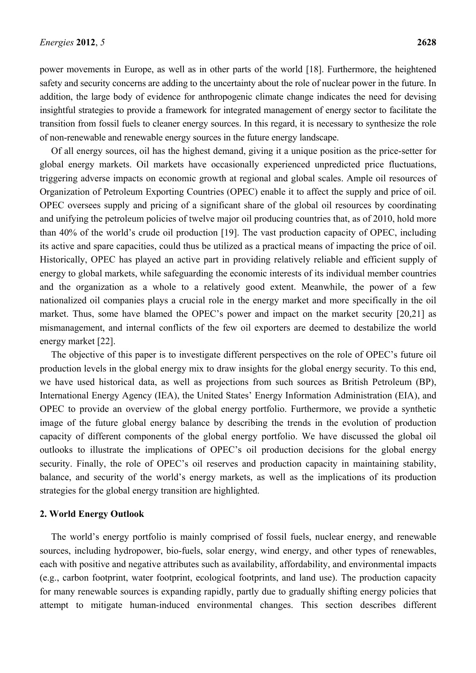power movements in Europe, as well as in other parts of the world [18]. Furthermore, the heightened safety and security concerns are adding to the uncertainty about the role of nuclear power in the future. In addition, the large body of evidence for anthropogenic climate change indicates the need for devising insightful strategies to provide a framework for integrated management of energy sector to facilitate the transition from fossil fuels to cleaner energy sources. In this regard, it is necessary to synthesize the role of non-renewable and renewable energy sources in the future energy landscape.

Of all energy sources, oil has the highest demand, giving it a unique position as the price-setter for global energy markets. Oil markets have occasionally experienced unpredicted price fluctuations, triggering adverse impacts on economic growth at regional and global scales. Ample oil resources of Organization of Petroleum Exporting Countries (OPEC) enable it to affect the supply and price of oil. OPEC oversees supply and pricing of a significant share of the global oil resources by coordinating and unifying the petroleum policies of twelve major oil producing countries that, as of 2010, hold more than 40% of the world's crude oil production [19]. The vast production capacity of OPEC, including its active and spare capacities, could thus be utilized as a practical means of impacting the price of oil. Historically, OPEC has played an active part in providing relatively reliable and efficient supply of energy to global markets, while safeguarding the economic interests of its individual member countries and the organization as a whole to a relatively good extent. Meanwhile, the power of a few nationalized oil companies plays a crucial role in the energy market and more specifically in the oil market. Thus, some have blamed the OPEC's power and impact on the market security [20,21] as mismanagement, and internal conflicts of the few oil exporters are deemed to destabilize the world energy market [22].

The objective of this paper is to investigate different perspectives on the role of OPEC's future oil production levels in the global energy mix to draw insights for the global energy security. To this end, we have used historical data, as well as projections from such sources as British Petroleum (BP), International Energy Agency (IEA), the United States' Energy Information Administration (EIA), and OPEC to provide an overview of the global energy portfolio. Furthermore, we provide a synthetic image of the future global energy balance by describing the trends in the evolution of production capacity of different components of the global energy portfolio. We have discussed the global oil outlooks to illustrate the implications of OPEC's oil production decisions for the global energy security. Finally, the role of OPEC's oil reserves and production capacity in maintaining stability, balance, and security of the world's energy markets, as well as the implications of its production strategies for the global energy transition are highlighted.

#### **2. World Energy Outlook**

The world's energy portfolio is mainly comprised of fossil fuels, nuclear energy, and renewable sources, including hydropower, bio-fuels, solar energy, wind energy, and other types of renewables, each with positive and negative attributes such as availability, affordability, and environmental impacts (e.g., carbon footprint, water footprint, ecological footprints, and land use). The production capacity for many renewable sources is expanding rapidly, partly due to gradually shifting energy policies that attempt to mitigate human-induced environmental changes. This section describes different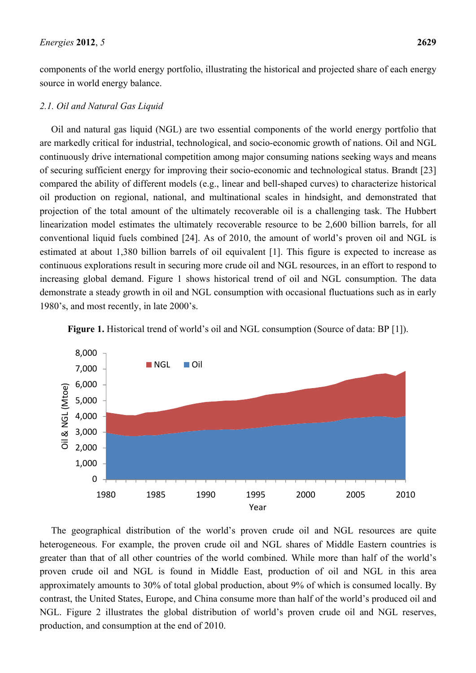components of the world energy portfolio, illustrating the historical and projected share of each energy source in world energy balance.

### *2.1. Oil and Natural Gas Liquid*

Oil and natural gas liquid (NGL) are two essential components of the world energy portfolio that are markedly critical for industrial, technological, and socio-economic growth of nations. Oil and NGL continuously drive international competition among major consuming nations seeking ways and means of securing sufficient energy for improving their socio-economic and technological status. Brandt [23] compared the ability of different models (e.g., linear and bell-shaped curves) to characterize historical oil production on regional, national, and multinational scales in hindsight, and demonstrated that projection of the total amount of the ultimately recoverable oil is a challenging task. The Hubbert linearization model estimates the ultimately recoverable resource to be 2,600 billion barrels, for all conventional liquid fuels combined [24]. As of 2010, the amount of world's proven oil and NGL is estimated at about 1,380 billion barrels of oil equivalent [1]. This figure is expected to increase as continuous explorations result in securing more crude oil and NGL resources, in an effort to respond to increasing global demand. Figure 1 shows historical trend of oil and NGL consumption. The data demonstrate a steady growth in oil and NGL consumption with occasional fluctuations such as in early 1980's, and most recently, in late 2000's.



**Figure 1.** Historical trend of world's oil and NGL consumption (Source of data: BP [1]).

The geographical distribution of the world's proven crude oil and NGL resources are quite heterogeneous. For example, the proven crude oil and NGL shares of Middle Eastern countries is greater than that of all other countries of the world combined. While more than half of the world's proven crude oil and NGL is found in Middle East, production of oil and NGL in this area approximately amounts to 30% of total global production, about 9% of which is consumed locally. By contrast, the United States, Europe, and China consume more than half of the world's produced oil and NGL. Figure 2 illustrates the global distribution of world's proven crude oil and NGL reserves, production, and consumption at the end of 2010.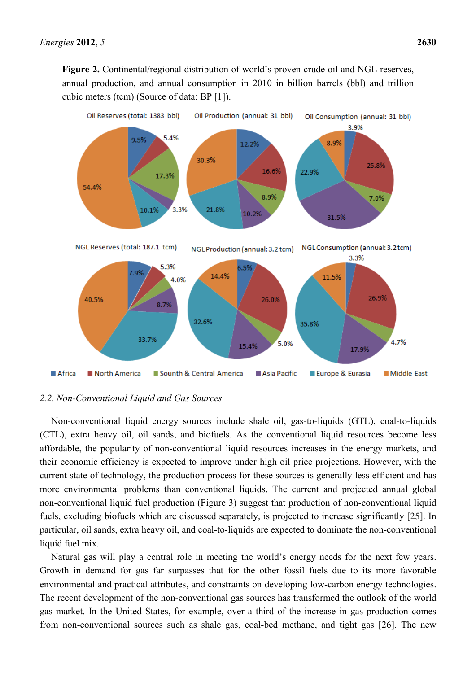**Figure 2.** Continental/regional distribution of world's proven crude oil and NGL reserves, annual production, and annual consumption in 2010 in billion barrels (bbl) and trillion cubic meters (tcm) (Source of data: BP [1]).



## *2.2. Non-Conventional Liquid and Gas Sources*

Non-conventional liquid energy sources include shale oil, gas-to-liquids (GTL), coal-to-liquids (CTL), extra heavy oil, oil sands, and biofuels. As the conventional liquid resources become less affordable, the popularity of non-conventional liquid resources increases in the energy markets, and their economic efficiency is expected to improve under high oil price projections. However, with the current state of technology, the production process for these sources is generally less efficient and has more environmental problems than conventional liquids. The current and projected annual global non-conventional liquid fuel production (Figure 3) suggest that production of non-conventional liquid fuels, excluding biofuels which are discussed separately, is projected to increase significantly [25]. In particular, oil sands, extra heavy oil, and coal-to-liquids are expected to dominate the non-conventional liquid fuel mix.

Natural gas will play a central role in meeting the world's energy needs for the next few years. Growth in demand for gas far surpasses that for the other fossil fuels due to its more favorable environmental and practical attributes, and constraints on developing low-carbon energy technologies. The recent development of the non-conventional gas sources has transformed the outlook of the world gas market. In the United States, for example, over a third of the increase in gas production comes from non-conventional sources such as shale gas, coal-bed methane, and tight gas [26]. The new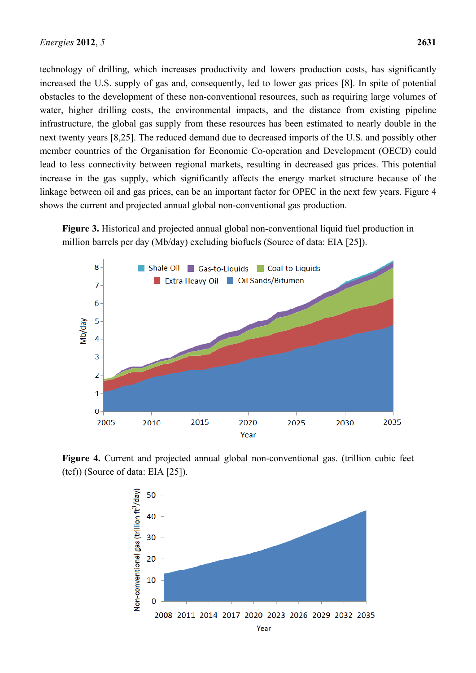technology of drilling, which increases productivity and lowers production costs, has significantly increased the U.S. supply of gas and, consequently, led to lower gas prices [8]. In spite of potential obstacles to the development of these non-conventional resources, such as requiring large volumes of water, higher drilling costs, the environmental impacts, and the distance from existing pipeline infrastructure, the global gas supply from these resources has been estimated to nearly double in the next twenty years [8,25]. The reduced demand due to decreased imports of the U.S. and possibly other member countries of the Organisation for Economic Co-operation and Development (OECD) could lead to less connectivity between regional markets, resulting in decreased gas prices. This potential increase in the gas supply, which significantly affects the energy market structure because of the linkage between oil and gas prices, can be an important factor for OPEC in the next few years. Figure 4 shows the current and projected annual global non-conventional gas production.

**Figure 3.** Historical and projected annual global non-conventional liquid fuel production in million barrels per day (Mb/day) excluding biofuels (Source of data: EIA [25]).



**Figure 4.** Current and projected annual global non-conventional gas. (trillion cubic feet (tcf)) (Source of data: EIA [25]).

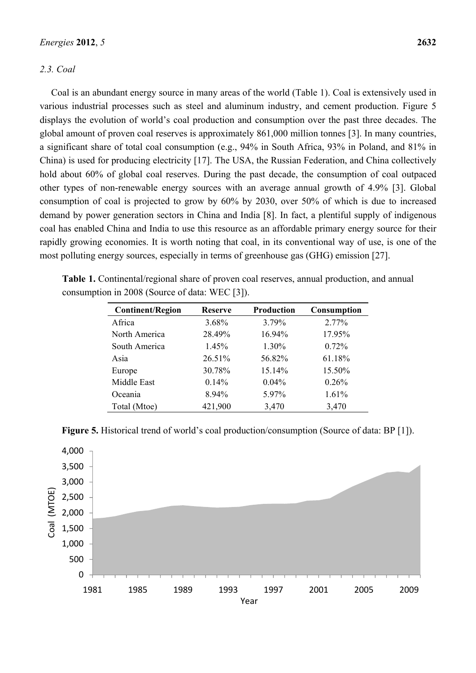# *2.3. Coal*

Coal is an abundant energy source in many areas of the world (Table 1). Coal is extensively used in various industrial processes such as steel and aluminum industry, and cement production. Figure 5 displays the evolution of world's coal production and consumption over the past three decades. The global amount of proven coal reserves is approximately 861,000 million tonnes [3]. In many countries, a significant share of total coal consumption (e.g., 94% in South Africa, 93% in Poland, and 81% in China) is used for producing electricity [17]. The USA, the Russian Federation, and China collectively hold about 60% of global coal reserves. During the past decade, the consumption of coal outpaced other types of non-renewable energy sources with an average annual growth of 4.9% [3]. Global consumption of coal is projected to grow by 60% by 2030, over 50% of which is due to increased demand by power generation sectors in China and India [8]. In fact, a plentiful supply of indigenous coal has enabled China and India to use this resource as an affordable primary energy source for their rapidly growing economies. It is worth noting that coal, in its conventional way of use, is one of the most polluting energy sources, especially in terms of greenhouse gas (GHG) emission [27].

|  | <b>Table 1.</b> Continental/regional share of proven coal reserves, annual production, and annual |  |  |  |  |
|--|---------------------------------------------------------------------------------------------------|--|--|--|--|
|  | consumption in 2008 (Source of data: WEC [3]).                                                    |  |  |  |  |

| <b>Continent/Region</b> | <b>Reserve</b> | <b>Production</b> | Consumption |
|-------------------------|----------------|-------------------|-------------|
| Africa                  | 3.68%          | 3.79%             | 2.77%       |
| North America           | 28.49%         | 16.94%            | 17.95%      |
| South America           | 1.45%          | 1.30%             | $0.72\%$    |
| Asia                    | 26.51%         | 56.82%            | 61.18%      |
| Europe                  | 30.78%         | 15.14%            | 15.50%      |
| Middle East             | 0.14%          | 0.04%             | 0.26%       |
| Oceania                 | 8.94%          | 5.97%             | 1.61%       |
| Total (Mtoe)            | 421,900        | 3,470             | 3,470       |



**Figure 5.** Historical trend of world's coal production/consumption (Source of data: BP [1]).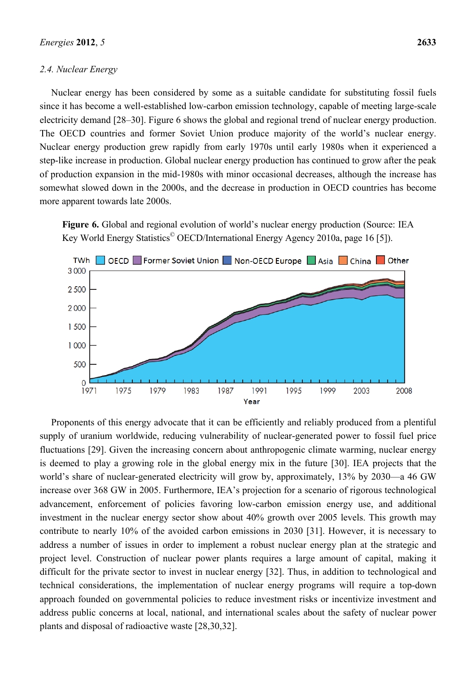### *2.4. Nuclear Energy*

Nuclear energy has been considered by some as a suitable candidate for substituting fossil fuels since it has become a well-established low-carbon emission technology, capable of meeting large-scale electricity demand [28–30]. Figure 6 shows the global and regional trend of nuclear energy production. The OECD countries and former Soviet Union produce majority of the world's nuclear energy. Nuclear energy production grew rapidly from early 1970s until early 1980s when it experienced a step-like increase in production. Global nuclear energy production has continued to grow after the peak of production expansion in the mid-1980s with minor occasional decreases, although the increase has somewhat slowed down in the 2000s, and the decrease in production in OECD countries has become more apparent towards late 2000s.

**Figure 6.** Global and regional evolution of world's nuclear energy production (Source: IEA Key World Energy Statistics© OECD/International Energy Agency 2010a, page 16 [5]).



Proponents of this energy advocate that it can be efficiently and reliably produced from a plentiful supply of uranium worldwide, reducing vulnerability of nuclear-generated power to fossil fuel price fluctuations [29]. Given the increasing concern about anthropogenic climate warming, nuclear energy is deemed to play a growing role in the global energy mix in the future [30]. IEA projects that the world's share of nuclear-generated electricity will grow by, approximately, 13% by 2030—a 46 GW increase over 368 GW in 2005. Furthermore, IEA's projection for a scenario of rigorous technological advancement, enforcement of policies favoring low-carbon emission energy use, and additional investment in the nuclear energy sector show about 40% growth over 2005 levels. This growth may contribute to nearly 10% of the avoided carbon emissions in 2030 [31]. However, it is necessary to address a number of issues in order to implement a robust nuclear energy plan at the strategic and project level. Construction of nuclear power plants requires a large amount of capital, making it difficult for the private sector to invest in nuclear energy [32]. Thus, in addition to technological and technical considerations, the implementation of nuclear energy programs will require a top-down approach founded on governmental policies to reduce investment risks or incentivize investment and address public concerns at local, national, and international scales about the safety of nuclear power plants and disposal of radioactive waste [28,30,32].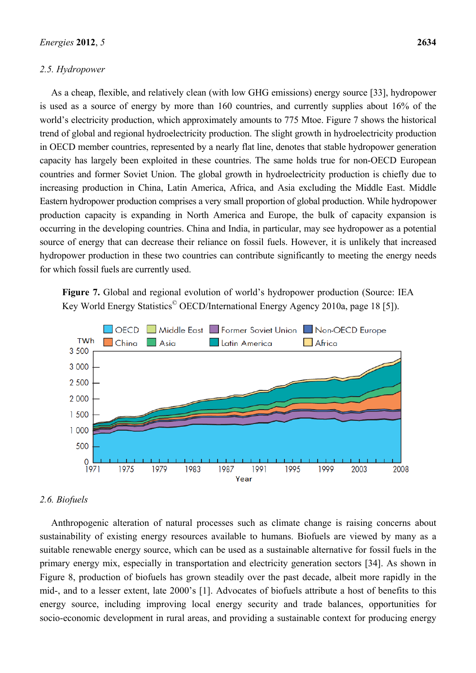#### *2.5. Hydropower*

As a cheap, flexible, and relatively clean (with low GHG emissions) energy source [33], hydropower is used as a source of energy by more than 160 countries, and currently supplies about 16% of the world's electricity production, which approximately amounts to 775 Mtoe. Figure 7 shows the historical trend of global and regional hydroelectricity production. The slight growth in hydroelectricity production in OECD member countries, represented by a nearly flat line, denotes that stable hydropower generation capacity has largely been exploited in these countries. The same holds true for non-OECD European countries and former Soviet Union. The global growth in hydroelectricity production is chiefly due to increasing production in China, Latin America, Africa, and Asia excluding the Middle East. Middle Eastern hydropower production comprises a very small proportion of global production. While hydropower production capacity is expanding in North America and Europe, the bulk of capacity expansion is occurring in the developing countries. China and India, in particular, may see hydropower as a potential source of energy that can decrease their reliance on fossil fuels. However, it is unlikely that increased hydropower production in these two countries can contribute significantly to meeting the energy needs for which fossil fuels are currently used.





## *2.6. Biofuels*

Anthropogenic alteration of natural processes such as climate change is raising concerns about sustainability of existing energy resources available to humans. Biofuels are viewed by many as a suitable renewable energy source, which can be used as a sustainable alternative for fossil fuels in the primary energy mix, especially in transportation and electricity generation sectors [34]. As shown in Figure 8, production of biofuels has grown steadily over the past decade, albeit more rapidly in the mid-, and to a lesser extent, late 2000's [1]. Advocates of biofuels attribute a host of benefits to this energy source, including improving local energy security and trade balances, opportunities for socio-economic development in rural areas, and providing a sustainable context for producing energy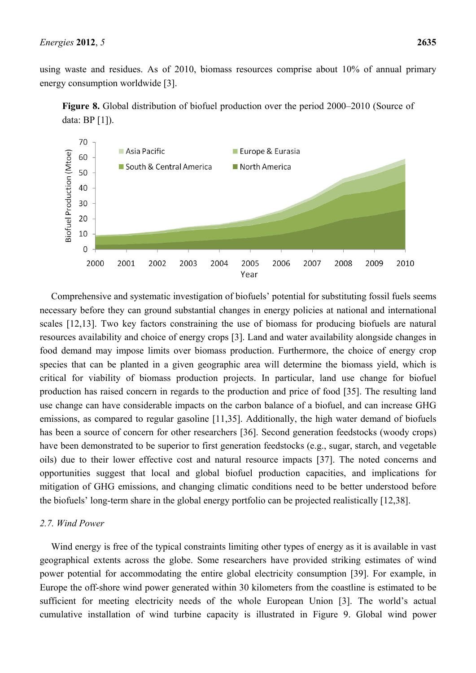using waste and residues. As of 2010, biomass resources comprise about 10% of annual primary energy consumption worldwide [3].





Comprehensive and systematic investigation of biofuels' potential for substituting fossil fuels seems necessary before they can ground substantial changes in energy policies at national and international scales [12,13]. Two key factors constraining the use of biomass for producing biofuels are natural resources availability and choice of energy crops [3]. Land and water availability alongside changes in food demand may impose limits over biomass production. Furthermore, the choice of energy crop species that can be planted in a given geographic area will determine the biomass yield, which is critical for viability of biomass production projects. In particular, land use change for biofuel production has raised concern in regards to the production and price of food [35]. The resulting land use change can have considerable impacts on the carbon balance of a biofuel, and can increase GHG emissions, as compared to regular gasoline [11,35]. Additionally, the high water demand of biofuels has been a source of concern for other researchers [36]. Second generation feedstocks (woody crops) have been demonstrated to be superior to first generation feedstocks (e.g., sugar, starch, and vegetable oils) due to their lower effective cost and natural resource impacts [37]. The noted concerns and opportunities suggest that local and global biofuel production capacities, and implications for mitigation of GHG emissions, and changing climatic conditions need to be better understood before the biofuels' long-term share in the global energy portfolio can be projected realistically [12,38].

# *2.7. Wind Power*

Wind energy is free of the typical constraints limiting other types of energy as it is available in vast geographical extents across the globe. Some researchers have provided striking estimates of wind power potential for accommodating the entire global electricity consumption [39]. For example, in Europe the off-shore wind power generated within 30 kilometers from the coastline is estimated to be sufficient for meeting electricity needs of the whole European Union [3]. The world's actual cumulative installation of wind turbine capacity is illustrated in Figure 9. Global wind power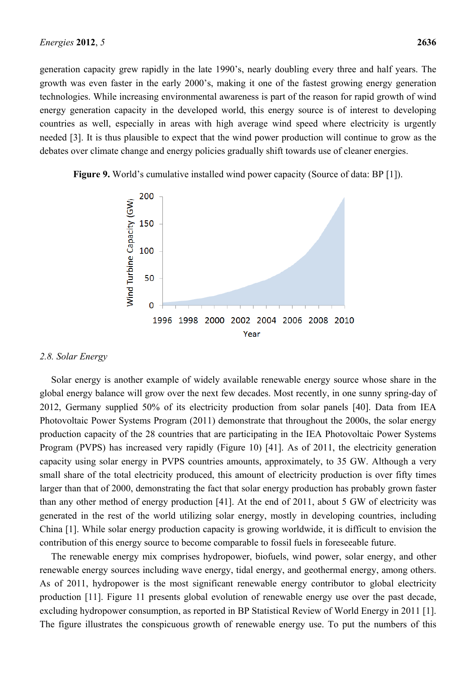generation capacity grew rapidly in the late 1990's, nearly doubling every three and half years. The growth was even faster in the early 2000's, making it one of the fastest growing energy generation technologies. While increasing environmental awareness is part of the reason for rapid growth of wind energy generation capacity in the developed world, this energy source is of interest to developing countries as well, especially in areas with high average wind speed where electricity is urgently needed [3]. It is thus plausible to expect that the wind power production will continue to grow as the debates over climate change and energy policies gradually shift towards use of cleaner energies.



**Figure 9.** World's cumulative installed wind power capacity (Source of data: BP [1]).

#### *2.8. Solar Energy*

Solar energy is another example of widely available renewable energy source whose share in the global energy balance will grow over the next few decades. Most recently, in one sunny spring-day of 2012, Germany supplied 50% of its electricity production from solar panels [40]. Data from IEA Photovoltaic Power Systems Program (2011) demonstrate that throughout the 2000s, the solar energy production capacity of the 28 countries that are participating in the IEA Photovoltaic Power Systems Program (PVPS) has increased very rapidly (Figure 10) [41]. As of 2011, the electricity generation capacity using solar energy in PVPS countries amounts, approximately, to 35 GW. Although a very small share of the total electricity produced, this amount of electricity production is over fifty times larger than that of 2000, demonstrating the fact that solar energy production has probably grown faster than any other method of energy production [41]. At the end of 2011, about 5 GW of electricity was generated in the rest of the world utilizing solar energy, mostly in developing countries, including China [1]. While solar energy production capacity is growing worldwide, it is difficult to envision the contribution of this energy source to become comparable to fossil fuels in foreseeable future.

The renewable energy mix comprises hydropower, biofuels, wind power, solar energy, and other renewable energy sources including wave energy, tidal energy, and geothermal energy, among others. As of 2011, hydropower is the most significant renewable energy contributor to global electricity production [11]. Figure 11 presents global evolution of renewable energy use over the past decade, excluding hydropower consumption, as reported in BP Statistical Review of World Energy in 2011 [1]. The figure illustrates the conspicuous growth of renewable energy use. To put the numbers of this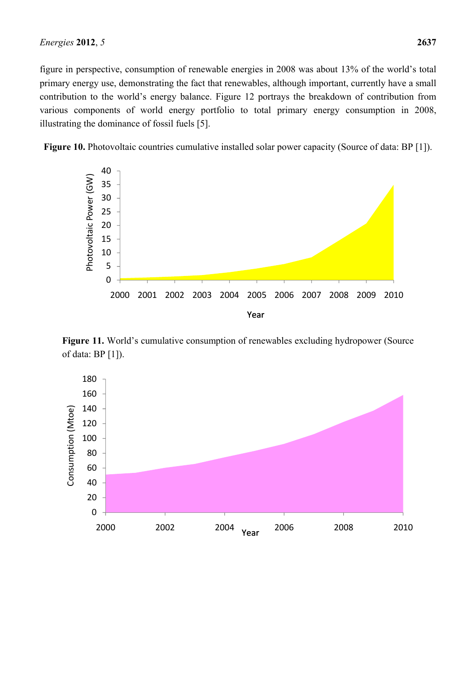figure in perspective, consumption of renewable energies in 2008 was about 13% of the world's total primary energy use, demonstrating the fact that renewables, although important, currently have a small contribution to the world's energy balance. Figure 12 portrays the breakdown of contribution from various components of world energy portfolio to total primary energy consumption in 2008, illustrating the dominance of fossil fuels [5].

**Figure 10.** Photovoltaic countries cumulative installed solar power capacity (Source of data: BP [1]).



**Figure 11.** World's cumulative consumption of renewables excluding hydropower (Source of data: BP [1]).

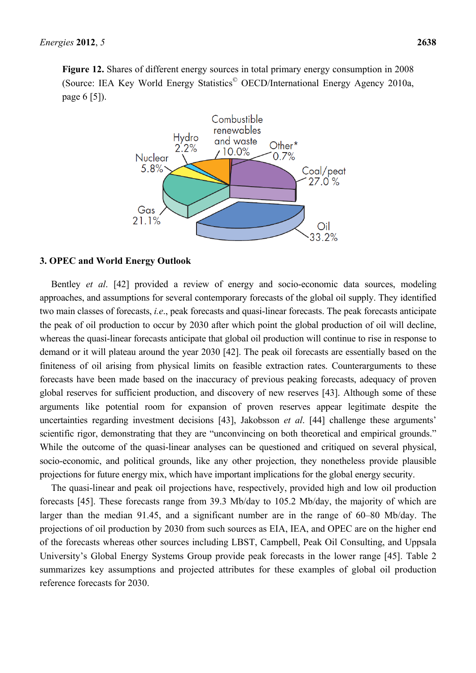**Figure 12.** Shares of different energy sources in total primary energy consumption in 2008 (Source: IEA Key World Energy Statistics© OECD/International Energy Agency 2010a, page 6 [5]).



# **3. OPEC and World Energy Outlook**

Bentley *et al*. [42] provided a review of energy and socio-economic data sources, modeling approaches, and assumptions for several contemporary forecasts of the global oil supply. They identified two main classes of forecasts, *i.e*., peak forecasts and quasi-linear forecasts. The peak forecasts anticipate the peak of oil production to occur by 2030 after which point the global production of oil will decline, whereas the quasi-linear forecasts anticipate that global oil production will continue to rise in response to demand or it will plateau around the year 2030 [42]. The peak oil forecasts are essentially based on the finiteness of oil arising from physical limits on feasible extraction rates. Counterarguments to these forecasts have been made based on the inaccuracy of previous peaking forecasts, adequacy of proven global reserves for sufficient production, and discovery of new reserves [43]. Although some of these arguments like potential room for expansion of proven reserves appear legitimate despite the uncertainties regarding investment decisions [43], Jakobsson *et al*. [44] challenge these arguments' scientific rigor, demonstrating that they are "unconvincing on both theoretical and empirical grounds." While the outcome of the quasi-linear analyses can be questioned and critiqued on several physical, socio-economic, and political grounds, like any other projection, they nonetheless provide plausible projections for future energy mix, which have important implications for the global energy security.

The quasi-linear and peak oil projections have, respectively, provided high and low oil production forecasts [45]. These forecasts range from 39.3 Mb/day to 105.2 Mb/day, the majority of which are larger than the median 91.45, and a significant number are in the range of 60–80 Mb/day. The projections of oil production by 2030 from such sources as EIA, IEA, and OPEC are on the higher end of the forecasts whereas other sources including LBST, Campbell, Peak Oil Consulting, and Uppsala University's Global Energy Systems Group provide peak forecasts in the lower range [45]. Table 2 summarizes key assumptions and projected attributes for these examples of global oil production reference forecasts for 2030.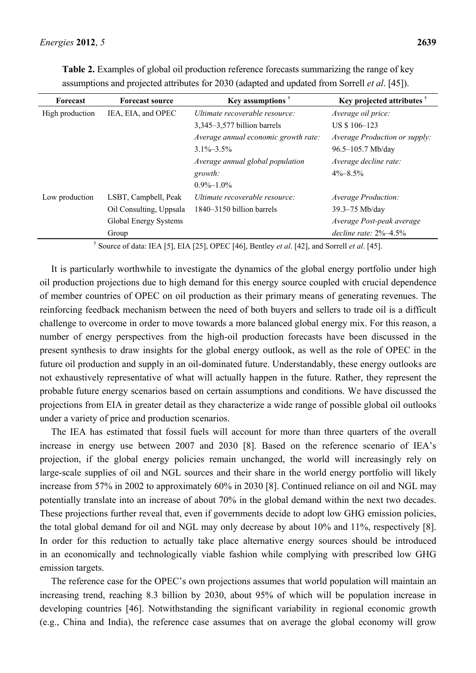| Forecast        | <b>Forecast source</b>  | Key assumptions $†$                  | Key projected attributes <sup>†</sup> |  |
|-----------------|-------------------------|--------------------------------------|---------------------------------------|--|
| High production | IEA, EIA, and OPEC      | Ultimate recoverable resource:       | Average oil price:                    |  |
|                 |                         | $3,345-3,577$ billion barrels        | US \$106-123                          |  |
|                 |                         | Average annual economic growth rate: | Average Production or supply:         |  |
|                 |                         | $3.1\% - 3.5\%$                      | 96.5-105.7 Mb/day                     |  |
|                 |                         | Average annual global population     | Average decline rate:                 |  |
|                 |                         | growth:                              | $4\% - 8.5\%$                         |  |
|                 |                         | $0.9\% - 1.0\%$                      |                                       |  |
| Low production  | LSBT, Campbell, Peak    | Ultimate recoverable resource:       | Average Production:                   |  |
|                 | Oil Consulting, Uppsala | 1840–3150 billion barrels            | $39.3 - 75$ Mb/day                    |  |
|                 | Global Energy Systems   |                                      | Average Post-peak average             |  |
|                 | Group                   |                                      | decline rate: $2\% - 4.5\%$           |  |

**Table 2.** Examples of global oil production reference forecasts summarizing the range of key assumptions and projected attributes for 2030 (adapted and updated from Sorrell *et al*. [45]).

† Source of data: IEA [5], EIA [25], OPEC [46], Bentley *et al*. [42], and Sorrell *et al*. [45].

It is particularly worthwhile to investigate the dynamics of the global energy portfolio under high oil production projections due to high demand for this energy source coupled with crucial dependence of member countries of OPEC on oil production as their primary means of generating revenues. The reinforcing feedback mechanism between the need of both buyers and sellers to trade oil is a difficult challenge to overcome in order to move towards a more balanced global energy mix. For this reason, a number of energy perspectives from the high-oil production forecasts have been discussed in the present synthesis to draw insights for the global energy outlook, as well as the role of OPEC in the future oil production and supply in an oil-dominated future. Understandably, these energy outlooks are not exhaustively representative of what will actually happen in the future. Rather, they represent the probable future energy scenarios based on certain assumptions and conditions. We have discussed the projections from EIA in greater detail as they characterize a wide range of possible global oil outlooks under a variety of price and production scenarios.

The IEA has estimated that fossil fuels will account for more than three quarters of the overall increase in energy use between 2007 and 2030 [8]. Based on the reference scenario of IEA's projection, if the global energy policies remain unchanged, the world will increasingly rely on large-scale supplies of oil and NGL sources and their share in the world energy portfolio will likely increase from 57% in 2002 to approximately 60% in 2030 [8]. Continued reliance on oil and NGL may potentially translate into an increase of about 70% in the global demand within the next two decades. These projections further reveal that, even if governments decide to adopt low GHG emission policies, the total global demand for oil and NGL may only decrease by about 10% and 11%, respectively [8]. In order for this reduction to actually take place alternative energy sources should be introduced in an economically and technologically viable fashion while complying with prescribed low GHG emission targets.

The reference case for the OPEC's own projections assumes that world population will maintain an increasing trend, reaching 8.3 billion by 2030, about 95% of which will be population increase in developing countries [46]. Notwithstanding the significant variability in regional economic growth (e.g., China and India), the reference case assumes that on average the global economy will grow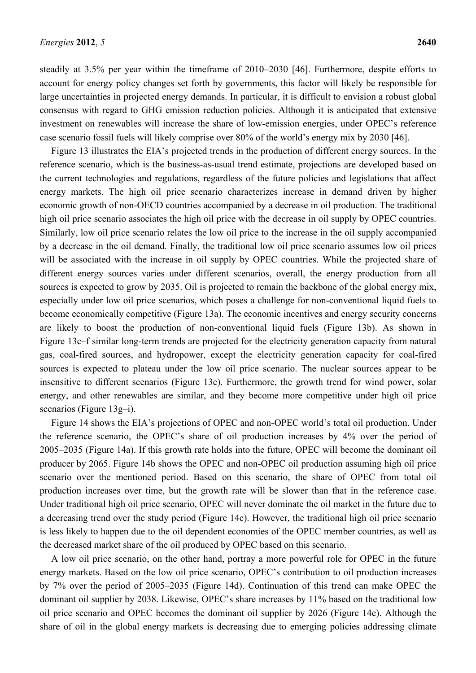steadily at 3.5% per year within the timeframe of 2010–2030 [46]. Furthermore, despite efforts to account for energy policy changes set forth by governments, this factor will likely be responsible for large uncertainties in projected energy demands. In particular, it is difficult to envision a robust global consensus with regard to GHG emission reduction policies. Although it is anticipated that extensive investment on renewables will increase the share of low-emission energies, under OPEC's reference case scenario fossil fuels will likely comprise over 80% of the world's energy mix by 2030 [46].

Figure 13 illustrates the EIA's projected trends in the production of different energy sources. In the reference scenario, which is the business-as-usual trend estimate, projections are developed based on the current technologies and regulations, regardless of the future policies and legislations that affect energy markets. The high oil price scenario characterizes increase in demand driven by higher economic growth of non-OECD countries accompanied by a decrease in oil production. The traditional high oil price scenario associates the high oil price with the decrease in oil supply by OPEC countries. Similarly, low oil price scenario relates the low oil price to the increase in the oil supply accompanied by a decrease in the oil demand. Finally, the traditional low oil price scenario assumes low oil prices will be associated with the increase in oil supply by OPEC countries. While the projected share of different energy sources varies under different scenarios, overall, the energy production from all sources is expected to grow by 2035. Oil is projected to remain the backbone of the global energy mix, especially under low oil price scenarios, which poses a challenge for non-conventional liquid fuels to become economically competitive (Figure 13a). The economic incentives and energy security concerns are likely to boost the production of non-conventional liquid fuels (Figure 13b). As shown in Figure 13c–f similar long-term trends are projected for the electricity generation capacity from natural gas, coal-fired sources, and hydropower, except the electricity generation capacity for coal-fired sources is expected to plateau under the low oil price scenario. The nuclear sources appear to be insensitive to different scenarios (Figure 13e). Furthermore, the growth trend for wind power, solar energy, and other renewables are similar, and they become more competitive under high oil price scenarios (Figure 13g–i).

Figure 14 shows the EIA's projections of OPEC and non-OPEC world's total oil production. Under the reference scenario, the OPEC's share of oil production increases by 4% over the period of 2005–2035 (Figure 14a). If this growth rate holds into the future, OPEC will become the dominant oil producer by 2065. Figure 14b shows the OPEC and non-OPEC oil production assuming high oil price scenario over the mentioned period. Based on this scenario, the share of OPEC from total oil production increases over time, but the growth rate will be slower than that in the reference case. Under traditional high oil price scenario, OPEC will never dominate the oil market in the future due to a decreasing trend over the study period (Figure 14c). However, the traditional high oil price scenario is less likely to happen due to the oil dependent economies of the OPEC member countries, as well as the decreased market share of the oil produced by OPEC based on this scenario.

A low oil price scenario, on the other hand, portray a more powerful role for OPEC in the future energy markets. Based on the low oil price scenario, OPEC's contribution to oil production increases by 7% over the period of 2005–2035 (Figure 14d). Continuation of this trend can make OPEC the dominant oil supplier by 2038. Likewise, OPEC's share increases by 11% based on the traditional low oil price scenario and OPEC becomes the dominant oil supplier by 2026 (Figure 14e). Although the share of oil in the global energy markets is decreasing due to emerging policies addressing climate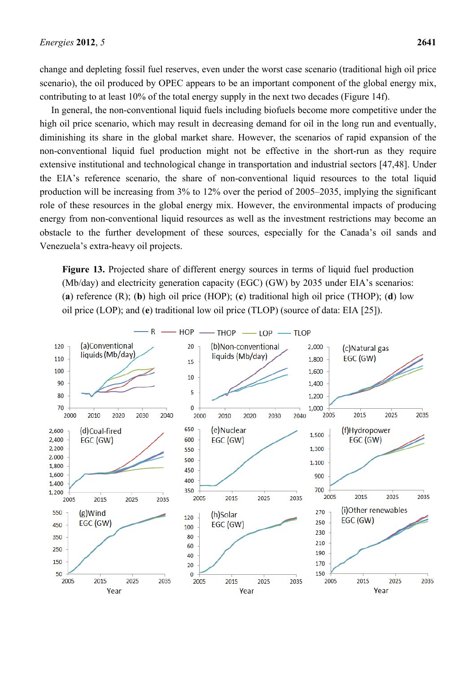change and depleting fossil fuel reserves, even under the worst case scenario (traditional high oil price scenario), the oil produced by OPEC appears to be an important component of the global energy mix, contributing to at least 10% of the total energy supply in the next two decades (Figure 14f).

In general, the non-conventional liquid fuels including biofuels become more competitive under the high oil price scenario, which may result in decreasing demand for oil in the long run and eventually, diminishing its share in the global market share. However, the scenarios of rapid expansion of the non-conventional liquid fuel production might not be effective in the short-run as they require extensive institutional and technological change in transportation and industrial sectors [47,48]. Under the EIA's reference scenario, the share of non-conventional liquid resources to the total liquid production will be increasing from 3% to 12% over the period of 2005–2035, implying the significant role of these resources in the global energy mix. However, the environmental impacts of producing energy from non-conventional liquid resources as well as the investment restrictions may become an obstacle to the further development of these sources, especially for the Canada's oil sands and Venezuela's extra-heavy oil projects.

**Figure 13.** Projected share of different energy sources in terms of liquid fuel production (Mb/day) and electricity generation capacity (EGC) (GW) by 2035 under EIA's scenarios: (**a**) reference (R); (**b**) high oil price (HOP); (**c**) traditional high oil price (THOP); (**d**) low oil price (LOP); and (**e**) traditional low oil price (TLOP) (source of data: EIA [25]).

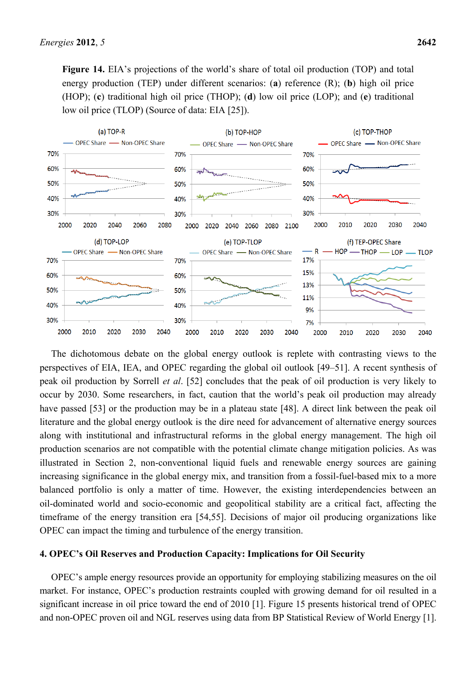**Figure 14.** EIA's projections of the world's share of total oil production (TOP) and total energy production (TEP) under different scenarios: (**a**) reference (R); (**b**) high oil price (HOP); (**c**) traditional high oil price (THOP); (**d**) low oil price (LOP); and (**e**) traditional low oil price (TLOP) (Source of data: EIA [25]).



The dichotomous debate on the global energy outlook is replete with contrasting views to the perspectives of EIA, IEA, and OPEC regarding the global oil outlook [49–51]. A recent synthesis of peak oil production by Sorrell *et al*. [52] concludes that the peak of oil production is very likely to occur by 2030. Some researchers, in fact, caution that the world's peak oil production may already have passed [53] or the production may be in a plateau state [48]. A direct link between the peak oil literature and the global energy outlook is the dire need for advancement of alternative energy sources along with institutional and infrastructural reforms in the global energy management. The high oil production scenarios are not compatible with the potential climate change mitigation policies. As was illustrated in Section 2, non-conventional liquid fuels and renewable energy sources are gaining increasing significance in the global energy mix, and transition from a fossil-fuel-based mix to a more balanced portfolio is only a matter of time. However, the existing interdependencies between an oil-dominated world and socio-economic and geopolitical stability are a critical fact, affecting the timeframe of the energy transition era [54,55]. Decisions of major oil producing organizations like OPEC can impact the timing and turbulence of the energy transition.

#### **4. OPEC's Oil Reserves and Production Capacity: Implications for Oil Security**

OPEC's ample energy resources provide an opportunity for employing stabilizing measures on the oil market. For instance, OPEC's production restraints coupled with growing demand for oil resulted in a significant increase in oil price toward the end of 2010 [1]. Figure 15 presents historical trend of OPEC and non-OPEC proven oil and NGL reserves using data from BP Statistical Review of World Energy [1].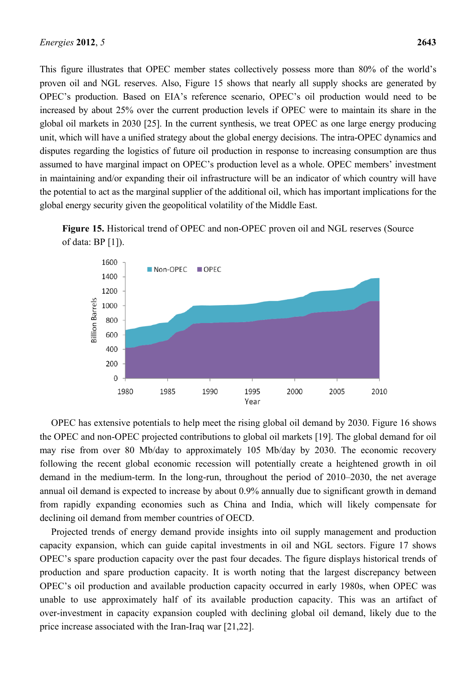This figure illustrates that OPEC member states collectively possess more than 80% of the world's proven oil and NGL reserves. Also, Figure 15 shows that nearly all supply shocks are generated by OPEC's production. Based on EIA's reference scenario, OPEC's oil production would need to be increased by about 25% over the current production levels if OPEC were to maintain its share in the global oil markets in 2030 [25]. In the current synthesis, we treat OPEC as one large energy producing unit, which will have a unified strategy about the global energy decisions. The intra-OPEC dynamics and disputes regarding the logistics of future oil production in response to increasing consumption are thus assumed to have marginal impact on OPEC's production level as a whole. OPEC members' investment in maintaining and/or expanding their oil infrastructure will be an indicator of which country will have the potential to act as the marginal supplier of the additional oil, which has important implications for the global energy security given the geopolitical volatility of the Middle East.

**Figure 15.** Historical trend of OPEC and non-OPEC proven oil and NGL reserves (Source of data: BP [1]).



OPEC has extensive potentials to help meet the rising global oil demand by 2030. Figure 16 shows the OPEC and non-OPEC projected contributions to global oil markets [19]. The global demand for oil may rise from over 80 Mb/day to approximately 105 Mb/day by 2030. The economic recovery following the recent global economic recession will potentially create a heightened growth in oil demand in the medium-term. In the long-run, throughout the period of 2010–2030, the net average annual oil demand is expected to increase by about 0.9% annually due to significant growth in demand from rapidly expanding economies such as China and India, which will likely compensate for declining oil demand from member countries of OECD.

Projected trends of energy demand provide insights into oil supply management and production capacity expansion, which can guide capital investments in oil and NGL sectors. Figure 17 shows OPEC's spare production capacity over the past four decades. The figure displays historical trends of production and spare production capacity. It is worth noting that the largest discrepancy between OPEC's oil production and available production capacity occurred in early 1980s, when OPEC was unable to use approximately half of its available production capacity. This was an artifact of over-investment in capacity expansion coupled with declining global oil demand, likely due to the price increase associated with the Iran-Iraq war [21,22].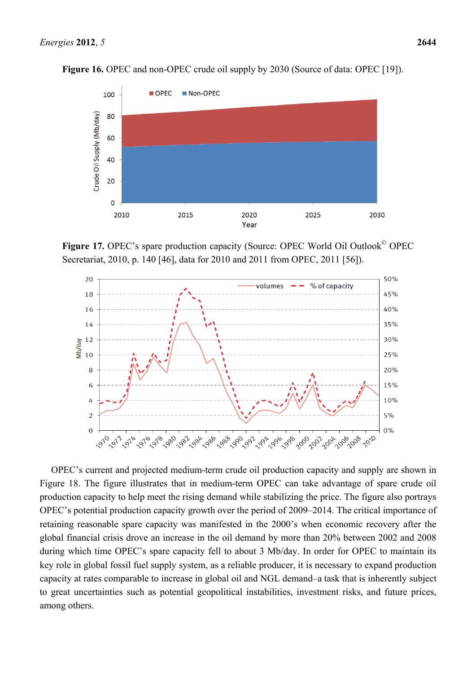

**Figure 16.** OPEC and non-OPEC crude oil supply by 2030 (Source of data: OPEC [19]).

**Figure 17.** OPEC's spare production capacity (Source: OPEC World Oil Outlook© OPEC Secretariat, 2010, p. 140 [46], data for 2010 and 2011 from OPEC, 2011 [56]).



OPEC's current and projected medium-term crude oil production capacity and supply are shown in Figure 18. The figure illustrates that in medium-term OPEC can take advantage of spare crude oil production capacity to help meet the rising demand while stabilizing the price. The figure also portrays OPEC's potential production capacity growth over the period of 2009–2014. The critical importance of retaining reasonable spare capacity was manifested in the 2000's when economic recovery after the global financial crisis drove an increase in the oil demand by more than 20% between 2002 and 2008 during which time OPEC's spare capacity fell to about 3 Mb/day. In order for OPEC to maintain its key role in global fossil fuel supply system, as a reliable producer, it is necessary to expand production capacity at rates comparable to increase in global oil and NGL demand–a task that is inherently subject to great uncertainties such as potential geopolitical instabilities, investment risks, and future prices, among others.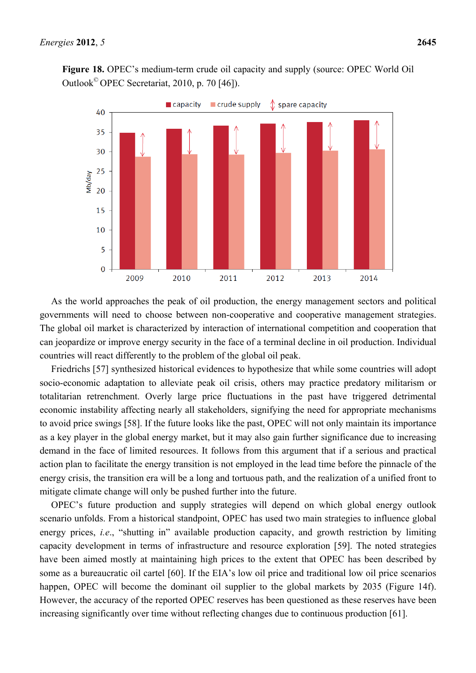**Figure 18.** OPEC's medium-term crude oil capacity and supply (source: OPEC World Oil Outlook© OPEC Secretariat, 2010, p. 70 [46]).



As the world approaches the peak of oil production, the energy management sectors and political governments will need to choose between non-cooperative and cooperative management strategies. The global oil market is characterized by interaction of international competition and cooperation that can jeopardize or improve energy security in the face of a terminal decline in oil production. Individual countries will react differently to the problem of the global oil peak.

Friedrichs [57] synthesized historical evidences to hypothesize that while some countries will adopt socio-economic adaptation to alleviate peak oil crisis, others may practice predatory militarism or totalitarian retrenchment. Overly large price fluctuations in the past have triggered detrimental economic instability affecting nearly all stakeholders, signifying the need for appropriate mechanisms to avoid price swings [58]. If the future looks like the past, OPEC will not only maintain its importance as a key player in the global energy market, but it may also gain further significance due to increasing demand in the face of limited resources. It follows from this argument that if a serious and practical action plan to facilitate the energy transition is not employed in the lead time before the pinnacle of the energy crisis, the transition era will be a long and tortuous path, and the realization of a unified front to mitigate climate change will only be pushed further into the future.

OPEC's future production and supply strategies will depend on which global energy outlook scenario unfolds. From a historical standpoint, OPEC has used two main strategies to influence global energy prices, *i.e.*, "shutting in" available production capacity, and growth restriction by limiting capacity development in terms of infrastructure and resource exploration [59]. The noted strategies have been aimed mostly at maintaining high prices to the extent that OPEC has been described by some as a bureaucratic oil cartel [60]. If the EIA's low oil price and traditional low oil price scenarios happen, OPEC will become the dominant oil supplier to the global markets by 2035 (Figure 14f). However, the accuracy of the reported OPEC reserves has been questioned as these reserves have been increasing significantly over time without reflecting changes due to continuous production [61].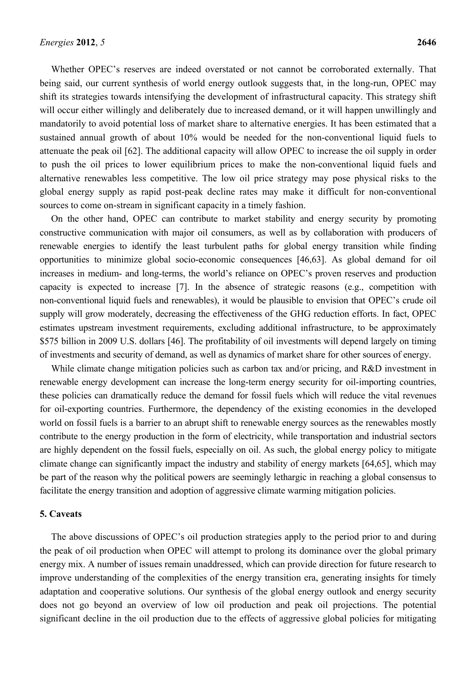Whether OPEC's reserves are indeed overstated or not cannot be corroborated externally. That being said, our current synthesis of world energy outlook suggests that, in the long-run, OPEC may shift its strategies towards intensifying the development of infrastructural capacity. This strategy shift will occur either willingly and deliberately due to increased demand, or it will happen unwillingly and mandatorily to avoid potential loss of market share to alternative energies. It has been estimated that a sustained annual growth of about 10% would be needed for the non-conventional liquid fuels to attenuate the peak oil [62]. The additional capacity will allow OPEC to increase the oil supply in order to push the oil prices to lower equilibrium prices to make the non-conventional liquid fuels and alternative renewables less competitive. The low oil price strategy may pose physical risks to the global energy supply as rapid post-peak decline rates may make it difficult for non-conventional sources to come on-stream in significant capacity in a timely fashion.

On the other hand, OPEC can contribute to market stability and energy security by promoting constructive communication with major oil consumers, as well as by collaboration with producers of renewable energies to identify the least turbulent paths for global energy transition while finding opportunities to minimize global socio-economic consequences [46,63]. As global demand for oil increases in medium- and long-terms, the world's reliance on OPEC's proven reserves and production capacity is expected to increase [7]. In the absence of strategic reasons (e.g., competition with non-conventional liquid fuels and renewables), it would be plausible to envision that OPEC's crude oil supply will grow moderately, decreasing the effectiveness of the GHG reduction efforts. In fact, OPEC estimates upstream investment requirements, excluding additional infrastructure, to be approximately \$575 billion in 2009 U.S. dollars [46]. The profitability of oil investments will depend largely on timing of investments and security of demand, as well as dynamics of market share for other sources of energy.

While climate change mitigation policies such as carbon tax and/or pricing, and R&D investment in renewable energy development can increase the long-term energy security for oil-importing countries, these policies can dramatically reduce the demand for fossil fuels which will reduce the vital revenues for oil-exporting countries. Furthermore, the dependency of the existing economies in the developed world on fossil fuels is a barrier to an abrupt shift to renewable energy sources as the renewables mostly contribute to the energy production in the form of electricity, while transportation and industrial sectors are highly dependent on the fossil fuels, especially on oil. As such, the global energy policy to mitigate climate change can significantly impact the industry and stability of energy markets [64,65], which may be part of the reason why the political powers are seemingly lethargic in reaching a global consensus to facilitate the energy transition and adoption of aggressive climate warming mitigation policies.

### **5. Caveats**

The above discussions of OPEC's oil production strategies apply to the period prior to and during the peak of oil production when OPEC will attempt to prolong its dominance over the global primary energy mix. A number of issues remain unaddressed, which can provide direction for future research to improve understanding of the complexities of the energy transition era, generating insights for timely adaptation and cooperative solutions. Our synthesis of the global energy outlook and energy security does not go beyond an overview of low oil production and peak oil projections. The potential significant decline in the oil production due to the effects of aggressive global policies for mitigating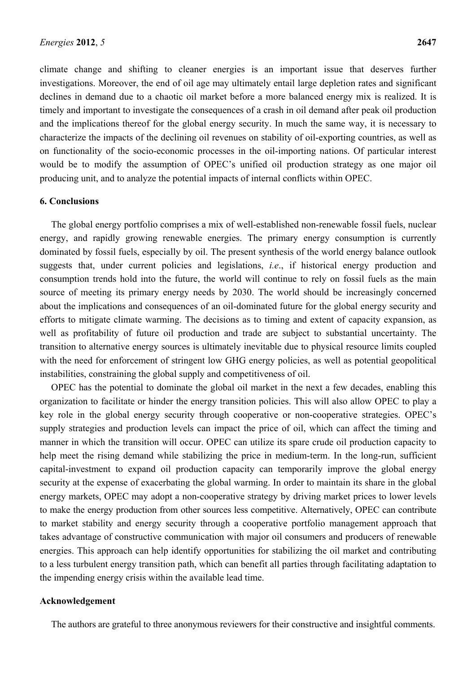climate change and shifting to cleaner energies is an important issue that deserves further investigations. Moreover, the end of oil age may ultimately entail large depletion rates and significant declines in demand due to a chaotic oil market before a more balanced energy mix is realized. It is timely and important to investigate the consequences of a crash in oil demand after peak oil production and the implications thereof for the global energy security. In much the same way, it is necessary to characterize the impacts of the declining oil revenues on stability of oil-exporting countries, as well as on functionality of the socio-economic processes in the oil-importing nations. Of particular interest would be to modify the assumption of OPEC's unified oil production strategy as one major oil producing unit, and to analyze the potential impacts of internal conflicts within OPEC.

# **6. Conclusions**

The global energy portfolio comprises a mix of well-established non-renewable fossil fuels, nuclear energy, and rapidly growing renewable energies. The primary energy consumption is currently dominated by fossil fuels, especially by oil. The present synthesis of the world energy balance outlook suggests that, under current policies and legislations, *i.e*., if historical energy production and consumption trends hold into the future, the world will continue to rely on fossil fuels as the main source of meeting its primary energy needs by 2030. The world should be increasingly concerned about the implications and consequences of an oil-dominated future for the global energy security and efforts to mitigate climate warming. The decisions as to timing and extent of capacity expansion, as well as profitability of future oil production and trade are subject to substantial uncertainty. The transition to alternative energy sources is ultimately inevitable due to physical resource limits coupled with the need for enforcement of stringent low GHG energy policies, as well as potential geopolitical instabilities, constraining the global supply and competitiveness of oil.

OPEC has the potential to dominate the global oil market in the next a few decades, enabling this organization to facilitate or hinder the energy transition policies. This will also allow OPEC to play a key role in the global energy security through cooperative or non-cooperative strategies. OPEC's supply strategies and production levels can impact the price of oil, which can affect the timing and manner in which the transition will occur. OPEC can utilize its spare crude oil production capacity to help meet the rising demand while stabilizing the price in medium-term. In the long-run, sufficient capital-investment to expand oil production capacity can temporarily improve the global energy security at the expense of exacerbating the global warming. In order to maintain its share in the global energy markets, OPEC may adopt a non-cooperative strategy by driving market prices to lower levels to make the energy production from other sources less competitive. Alternatively, OPEC can contribute to market stability and energy security through a cooperative portfolio management approach that takes advantage of constructive communication with major oil consumers and producers of renewable energies. This approach can help identify opportunities for stabilizing the oil market and contributing to a less turbulent energy transition path, which can benefit all parties through facilitating adaptation to the impending energy crisis within the available lead time.

#### **Acknowledgement**

The authors are grateful to three anonymous reviewers for their constructive and insightful comments.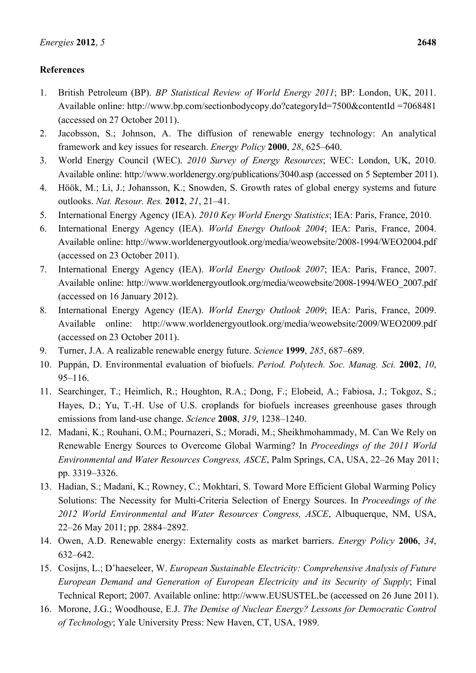# **References**

- 1. British Petroleum (BP). *BP Statistical Review of World Energy 2011*; BP: London, UK, 2011. Available online: http://www.bp.com/sectionbodycopy.do?categoryId=7500&contentId =7068481 (accessed on 27 October 2011).
- 2. Jacobsson, S.; Johnson, A. The diffusion of renewable energy technology: An analytical framework and key issues for research. *Energy Policy* **2000**, *28*, 625–640.
- 3. World Energy Council (WEC). *2010 Survey of Energy Resources*; WEC: London, UK, 2010. Available online: http://www.worldenergy.org/publications/3040.asp (accessed on 5 September 2011).
- 4. Höök, M.; Li, J.; Johansson, K.; Snowden, S. Growth rates of global energy systems and future outlooks. *Nat. Resour. Res.* **2012**, *21*, 21–41.
- 5. International Energy Agency (IEA). *2010 Key World Energy Statistics*; IEA: Paris, France, 2010.
- 6. International Energy Agency (IEA). *World Energy Outlook 2004*; IEA: Paris, France, 2004. Available online: http://www.worldenergyoutlook.org/media/weowebsite/2008-1994/WEO2004.pdf (accessed on 23 October 2011).
- 7. International Energy Agency (IEA). *World Energy Outlook 2007*; IEA: Paris, France, 2007. Available online: http://www.worldenergyoutlook.org/media/weowebsite/2008-1994/WEO\_2007.pdf (accessed on 16 January 2012).
- 8. International Energy Agency (IEA). *World Energy Outlook 2009*; IEA: Paris, France, 2009. Available online: http://www.worldenergyoutlook.org/media/weowebsite/2009/WEO2009.pdf (accessed on 23 October 2011).
- 9. Turner, J.A. A realizable renewable energy future. *Science* **1999**, *285*, 687–689.
- 10. Puppán, D. Environmental evaluation of biofuels. *Period. Polytech. Soc. Manag. Sci.* **2002**, *10*, 95–116.
- 11. Searchinger, T.; Heimlich, R.; Houghton, R.A.; Dong, F.; Elobeid, A.; Fabiosa, J.; Tokgoz, S.; Hayes, D.; Yu, T.-H. Use of U.S. croplands for biofuels increases greenhouse gases through emissions from land-use change. *Science* **2008**, *319*, 1238–1240.
- 12. Madani, K.; Rouhani, O.M.; Pournazeri, S.; Moradi, M.; Sheikhmohammady, M. Can We Rely on Renewable Energy Sources to Overcome Global Warming? In *Proceedings of the 2011 World Environmental and Water Resources Congress, ASCE*, Palm Springs, CA, USA, 22–26 May 2011; pp. 3319–3326.
- 13. Hadian, S.; Madani, K.; Rowney, C.; Mokhtari, S. Toward More Efficient Global Warming Policy Solutions: The Necessity for Multi-Criteria Selection of Energy Sources. In *Proceedings of the 2012 World Environmental and Water Resources Congress, ASCE*, Albuquerque, NM, USA, 22–26 May 2011; pp. 2884–2892.
- 14. Owen, A.D. Renewable energy: Externality costs as market barriers. *Energy Policy* **2006**, *34*, 632–642.
- 15. Cosijns, L.; D'haeseleer, W. *European Sustainable Electricity: Comprehensive Analysis of Future European Demand and Generation of European Electricity and its Security of Supply*; Final Technical Report; 2007. Available online: http://www.EUSUSTEL.be (accessed on 26 June 2011).
- 16. Morone, J.G.; Woodhouse, E.J. *The Demise of Nuclear Energy? Lessons for Democratic Control of Technology*; Yale University Press: New Haven, CT, USA, 1989.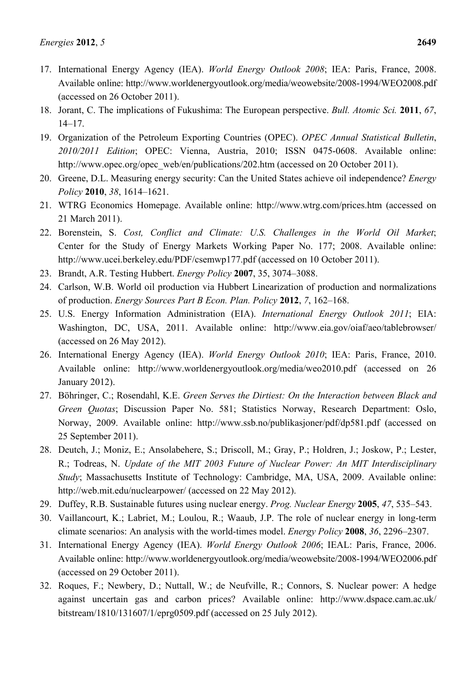- 17. International Energy Agency (IEA). *World Energy Outlook 2008*; IEA: Paris, France, 2008. Available online: http://www.worldenergyoutlook.org/media/weowebsite/2008-1994/WEO2008.pdf (accessed on 26 October 2011).
- 18. Jorant, C. The implications of Fukushima: The European perspective. *Bull. Atomic Sci.* **2011**, *67*, 14–17.
- 19. Organization of the Petroleum Exporting Countries (OPEC). *OPEC Annual Statistical Bulletin*, *2010/2011 Edition*; OPEC: Vienna, Austria, 2010; ISSN 0475-0608. Available online: http://www.opec.org/opec\_web/en/publications/202.htm (accessed on 20 October 2011).
- 20. Greene, D.L. Measuring energy security: Can the United States achieve oil independence? *Energy Policy* **2010**, *38*, 1614–1621.
- 21. WTRG Economics Homepage. Available online: http://www.wtrg.com/prices.htm (accessed on 21 March 2011).
- 22. Borenstein, S. *Cost, Conflict and Climate: U.S. Challenges in the World Oil Market*; Center for the Study of Energy Markets Working Paper No. 177; 2008. Available online: http://www.ucei.berkeley.edu/PDF/csemwp177.pdf (accessed on 10 October 2011).
- 23. Brandt, A.R. Testing Hubbert. *Energy Policy* **2007**, 35, 3074–3088.
- 24. Carlson, W.B. World oil production via Hubbert Linearization of production and normalizations of production. *Energy Sources Part B Econ. Plan. Policy* **2012**, *7*, 162–168.
- 25. U.S. Energy Information Administration (EIA). *International Energy Outlook 2011*; EIA: Washington, DC, USA, 2011. Available online: http://www.eia.gov/oiaf/aeo/tablebrowser/ (accessed on 26 May 2012).
- 26. International Energy Agency (IEA). *World Energy Outlook 2010*; IEA: Paris, France, 2010. Available online: http://www.worldenergyoutlook.org/media/weo2010.pdf (accessed on 26 January 2012).
- 27. Böhringer, C.; Rosendahl, K.E. *Green Serves the Dirtiest: On the Interaction between Black and Green Quotas*; Discussion Paper No. 581; Statistics Norway, Research Department: Oslo, Norway, 2009. Available online: http://www.ssb.no/publikasjoner/pdf/dp581.pdf (accessed on 25 September 2011).
- 28. Deutch, J.; Moniz, E.; Ansolabehere, S.; Driscoll, M.; Gray, P.; Holdren, J.; Joskow, P.; Lester, R.; Todreas, N. *Update of the MIT 2003 Future of Nuclear Power: An MIT Interdisciplinary Study*: Massachusetts Institute of Technology: Cambridge, MA, USA, 2009. Available online: http://web.mit.edu/nuclearpower/ (accessed on 22 May 2012).
- 29. Duffey, R.B. Sustainable futures using nuclear energy. *Prog. Nuclear Energy* **2005**, *47*, 535–543.
- 30. Vaillancourt, K.; Labriet, M.; Loulou, R.; Waaub, J.P. The role of nuclear energy in long-term climate scenarios: An analysis with the world-times model. *Energy Policy* **2008**, *36*, 2296–2307.
- 31. International Energy Agency (IEA). *World Energy Outlook 2006*; IEAL: Paris, France, 2006. Available online: http://www.worldenergyoutlook.org/media/weowebsite/2008-1994/WEO2006.pdf (accessed on 29 October 2011).
- 32. Roques, F.; Newbery, D.; Nuttall, W.; de Neufville, R.; Connors, S. Nuclear power: A hedge against uncertain gas and carbon prices? Available online: http://www.dspace.cam.ac.uk/ bitstream/1810/131607/1/eprg0509.pdf (accessed on 25 July 2012).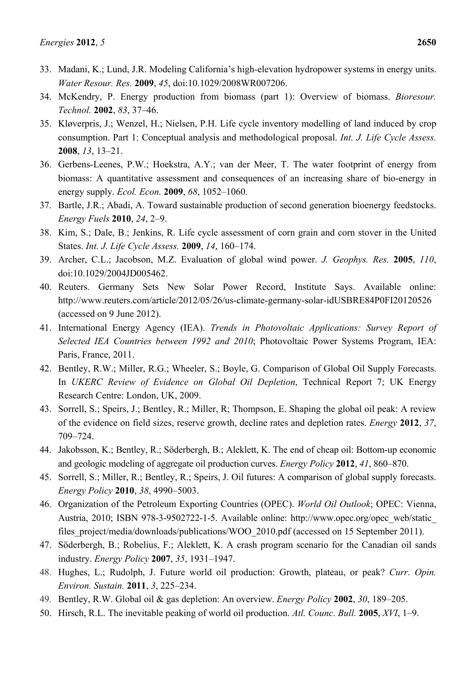- 33. Madani, K.; Lund, J.R. Modeling California's high-elevation hydropower systems in energy units. *Water Resour. Res.* **2009**, *45*, doi:10.1029/2008WR007206.
- 34. McKendry, P. Energy production from biomass (part 1): Overview of biomass. *Bioresour. Technol.* **2002**, *83*, 37–46.
- 35. Kløverpris, J.; Wenzel, H.; Nielsen, P.H. Life cycle inventory modelling of land induced by crop consumption. Part 1: Conceptual analysis and methodological proposal. *Int. J. Life Cycle Assess.* **2008**, *13*, 13–21.
- 36. Gerbens-Leenes, P.W.; Hoekstra, A.Y.; van der Meer, T. The water footprint of energy from biomass: A quantitative assessment and consequences of an increasing share of bio-energy in energy supply. *Ecol. Econ.* **2009**, *68*, 1052–1060.
- 37. Bartle, J.R.; Abadi, A. Toward sustainable production of second generation bioenergy feedstocks. *Energy Fuels* **2010**, *24*, 2–9.
- 38. Kim, S.; Dale, B.; Jenkins, R. Life cycle assessment of corn grain and corn stover in the United States. *Int. J. Life Cycle Assess.* **2009**, *14*, 160–174.
- 39. Archer, C.L.; Jacobson, M.Z. Evaluation of global wind power. *J. Geophys. Res.* **2005**, *110*, doi:10.1029/2004JD005462.
- 40. Reuters. Germany Sets New Solar Power Record, Institute Says. Available online: http://www.reuters.com/article/2012/05/26/us-climate-germany-solar-idUSBRE84P0FI20120526 (accessed on 9 June 2012).
- 41. International Energy Agency (IEA). *Trends in Photovoltaic Applications: Survey Report of Selected IEA Countries between 1992 and 2010*; Photovoltaic Power Systems Program, IEA: Paris, France, 2011.
- 42. Bentley, R.W.; Miller, R.G.; Wheeler, S.; Boyle, G. Comparison of Global Oil Supply Forecasts. In *UKERC Review of Evidence on Global Oil Depletion*, Technical Report 7; UK Energy Research Centre: London, UK, 2009.
- 43. Sorrell, S.; Speirs, J.; Bentley, R.; Miller, R; Thompson, E. Shaping the global oil peak: A review of the evidence on field sizes, reserve growth, decline rates and depletion rates. *Energy* **2012**, *37*, 709–724.
- 44. Jakobsson, K.; Bentley, R.; Söderbergh, B.; Aleklett, K. The end of cheap oil: Bottom-up economic and geologic modeling of aggregate oil production curves. *Energy Policy* **2012**, *41*, 860–870.
- 45. Sorrell, S.; Miller, R.; Bentley, R.; Speirs, J. Oil futures: A comparison of global supply forecasts. *Energy Policy* **2010**, *38*, 4990–5003.
- 46. Organization of the Petroleum Exporting Countries (OPEC). *World Oil Outlook*; OPEC: Vienna, Austria, 2010; ISBN 978-3-9502722-1-5. Available online: http://www.opec.org/opec\_web/static\_ files\_project/media/downloads/publications/WOO\_2010.pdf (accessed on 15 September 2011).
- 47. Söderbergh, B.; Robelius, F.; Aleklett, K. A crash program scenario for the Canadian oil sands industry. *Energy Policy* **2007**, *35*, 1931–1947.
- 48. Hughes, L.; Rudolph, J. Future world oil production: Growth, plateau, or peak? *Curr. Opin. Environ. Sustain.* **2011**, *3*, 225–234.
- 49. Bentley, R.W. Global oil & gas depletion: An overview. *Energy Policy* **2002**, *30*, 189–205.
- 50. Hirsch, R.L. The inevitable peaking of world oil production. *Atl. Counc. Bull.* **2005**, *XVI*, 1–9.